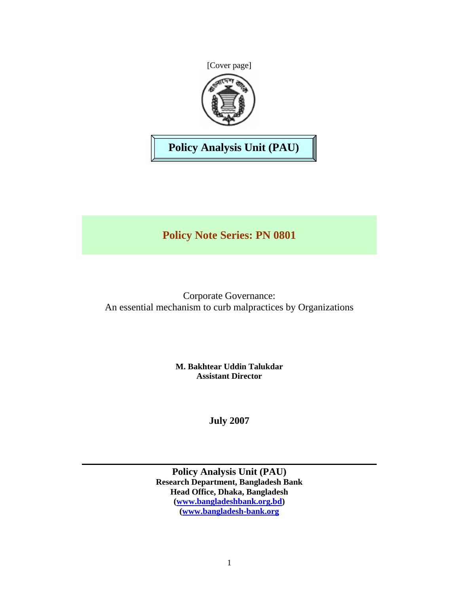[Cover page]



**Policy Analysis Unit (PAU)** 

# **Policy Note Series: PN 0801**

Corporate Governance: An essential mechanism to curb malpractices by Organizations

> **M. Bakhtear Uddin Talukdar Assistant Director**

> > **July 2007**

**Policy Analysis Unit (PAU) Research Department, Bangladesh Bank Head Office, Dhaka, Bangladesh (www.bangladeshbank.org.bd) (www.bangladesh-bank.org**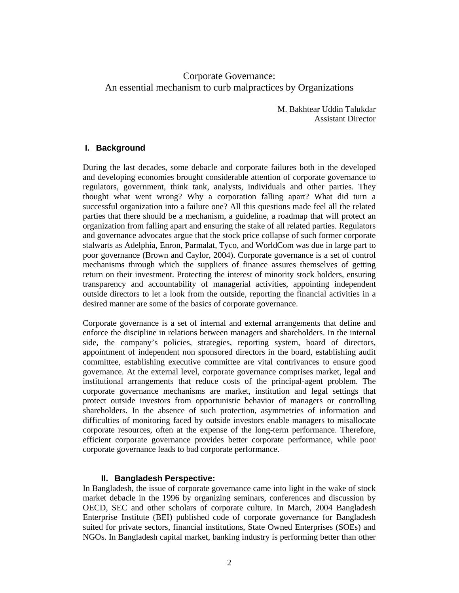# Corporate Governance: An essential mechanism to curb malpractices by Organizations

M. Bakhtear Uddin Talukdar Assistant Director

# **I. Background**

During the last decades, some debacle and corporate failures both in the developed and developing economies brought considerable attention of corporate governance to regulators, government, think tank, analysts, individuals and other parties. They thought what went wrong? Why a corporation falling apart? What did turn a successful organization into a failure one? All this questions made feel all the related parties that there should be a mechanism, a guideline, a roadmap that will protect an organization from falling apart and ensuring the stake of all related parties. Regulators and governance advocates argue that the stock price collapse of such former corporate stalwarts as Adelphia, Enron, Parmalat, Tyco, and WorldCom was due in large part to poor governance (Brown and Caylor, 2004). Corporate governance is a set of control mechanisms through which the suppliers of finance assures themselves of getting return on their investment. Protecting the interest of minority stock holders, ensuring transparency and accountability of managerial activities, appointing independent outside directors to let a look from the outside, reporting the financial activities in a desired manner are some of the basics of corporate governance.

Corporate governance is a set of internal and external arrangements that define and enforce the discipline in relations between managers and shareholders. In the internal side, the company's policies, strategies, reporting system, board of directors, appointment of independent non sponsored directors in the board, establishing audit committee, establishing executive committee are vital contrivances to ensure good governance. At the external level, corporate governance comprises market, legal and institutional arrangements that reduce costs of the principal-agent problem. The corporate governance mechanisms are market, institution and legal settings that protect outside investors from opportunistic behavior of managers or controlling shareholders. In the absence of such protection, asymmetries of information and difficulties of monitoring faced by outside investors enable managers to misallocate corporate resources, often at the expense of the long-term performance. Therefore, efficient corporate governance provides better corporate performance, while poor corporate governance leads to bad corporate performance.

## **II. Bangladesh Perspective:**

In Bangladesh, the issue of corporate governance came into light in the wake of stock market debacle in the 1996 by organizing seminars, conferences and discussion by OECD, SEC and other scholars of corporate culture. In March, 2004 Bangladesh Enterprise Institute (BEI) published code of corporate governance for Bangladesh suited for private sectors, financial institutions, State Owned Enterprises (SOEs) and NGOs. In Bangladesh capital market, banking industry is performing better than other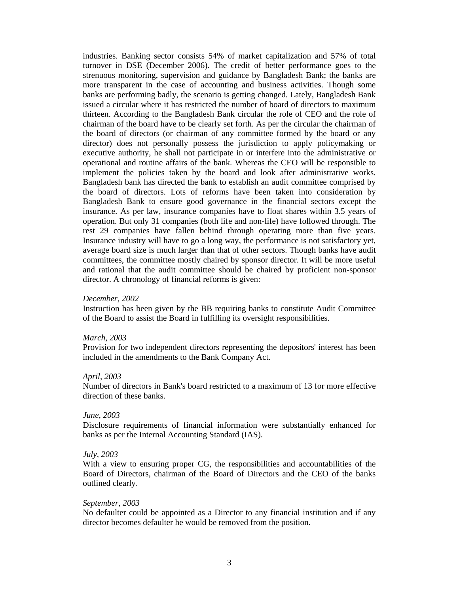industries. Banking sector consists 54% of market capitalization and 57% of total turnover in DSE (December 2006). The credit of better performance goes to the strenuous monitoring, supervision and guidance by Bangladesh Bank; the banks are more transparent in the case of accounting and business activities. Though some banks are performing badly, the scenario is getting changed. Lately, Bangladesh Bank issued a circular where it has restricted the number of board of directors to maximum thirteen. According to the Bangladesh Bank circular the role of CEO and the role of chairman of the board have to be clearly set forth. As per the circular the chairman of the board of directors (or chairman of any committee formed by the board or any director) does not personally possess the jurisdiction to apply policymaking or executive authority, he shall not participate in or interfere into the administrative or operational and routine affairs of the bank. Whereas the CEO will be responsible to implement the policies taken by the board and look after administrative works. Bangladesh bank has directed the bank to establish an audit committee comprised by the board of directors. Lots of reforms have been taken into consideration by Bangladesh Bank to ensure good governance in the financial sectors except the insurance. As per law, insurance companies have to float shares within 3.5 years of operation. But only 31 companies (both life and non-life) have followed through. The rest 29 companies have fallen behind through operating more than five years. Insurance industry will have to go a long way, the performance is not satisfactory yet, average board size is much larger than that of other sectors. Though banks have audit committees, the committee mostly chaired by sponsor director. It will be more useful and rational that the audit committee should be chaired by proficient non-sponsor director. A chronology of financial reforms is given:

#### *December, 2002*

Instruction has been given by the BB requiring banks to constitute Audit Committee of the Board to assist the Board in fulfilling its oversight responsibilities.

#### *March, 2003*

Provision for two independent directors representing the depositors' interest has been included in the amendments to the Bank Company Act.

#### *April, 2003*

Number of directors in Bank's board restricted to a maximum of 13 for more effective direction of these banks.

#### *June, 2003*

Disclosure requirements of financial information were substantially enhanced for banks as per the Internal Accounting Standard (IAS).

#### *July, 2003*

With a view to ensuring proper CG, the responsibilities and accountabilities of the Board of Directors, chairman of the Board of Directors and the CEO of the banks outlined clearly.

#### *September, 2003*

No defaulter could be appointed as a Director to any financial institution and if any director becomes defaulter he would be removed from the position.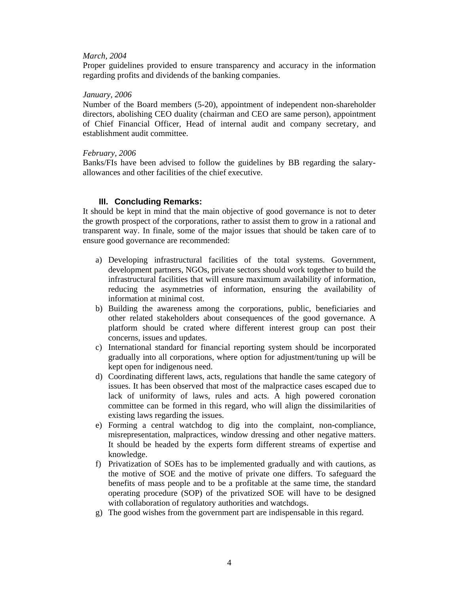## *March, 2004*

Proper guidelines provided to ensure transparency and accuracy in the information regarding profits and dividends of the banking companies.

### *January, 2006*

Number of the Board members (5-20), appointment of independent non-shareholder directors, abolishing CEO duality (chairman and CEO are same person), appointment of Chief Financial Officer, Head of internal audit and company secretary, and establishment audit committee.

### *February, 2006*

Banks/FIs have been advised to follow the guidelines by BB regarding the salaryallowances and other facilities of the chief executive.

## **III. Concluding Remarks:**

It should be kept in mind that the main objective of good governance is not to deter the growth prospect of the corporations, rather to assist them to grow in a rational and transparent way. In finale, some of the major issues that should be taken care of to ensure good governance are recommended:

- a) Developing infrastructural facilities of the total systems. Government, development partners, NGOs, private sectors should work together to build the infrastructural facilities that will ensure maximum availability of information, reducing the asymmetries of information, ensuring the availability of information at minimal cost.
- b) Building the awareness among the corporations, public, beneficiaries and other related stakeholders about consequences of the good governance. A platform should be crated where different interest group can post their concerns, issues and updates.
- c) International standard for financial reporting system should be incorporated gradually into all corporations, where option for adjustment/tuning up will be kept open for indigenous need.
- d) Coordinating different laws, acts, regulations that handle the same category of issues. It has been observed that most of the malpractice cases escaped due to lack of uniformity of laws, rules and acts. A high powered coronation committee can be formed in this regard, who will align the dissimilarities of existing laws regarding the issues.
- e) Forming a central watchdog to dig into the complaint, non-compliance, misrepresentation, malpractices, window dressing and other negative matters. It should be headed by the experts form different streams of expertise and knowledge.
- f) Privatization of SOEs has to be implemented gradually and with cautions, as the motive of SOE and the motive of private one differs. To safeguard the benefits of mass people and to be a profitable at the same time, the standard operating procedure (SOP) of the privatized SOE will have to be designed with collaboration of regulatory authorities and watchdogs.
- g) The good wishes from the government part are indispensable in this regard.